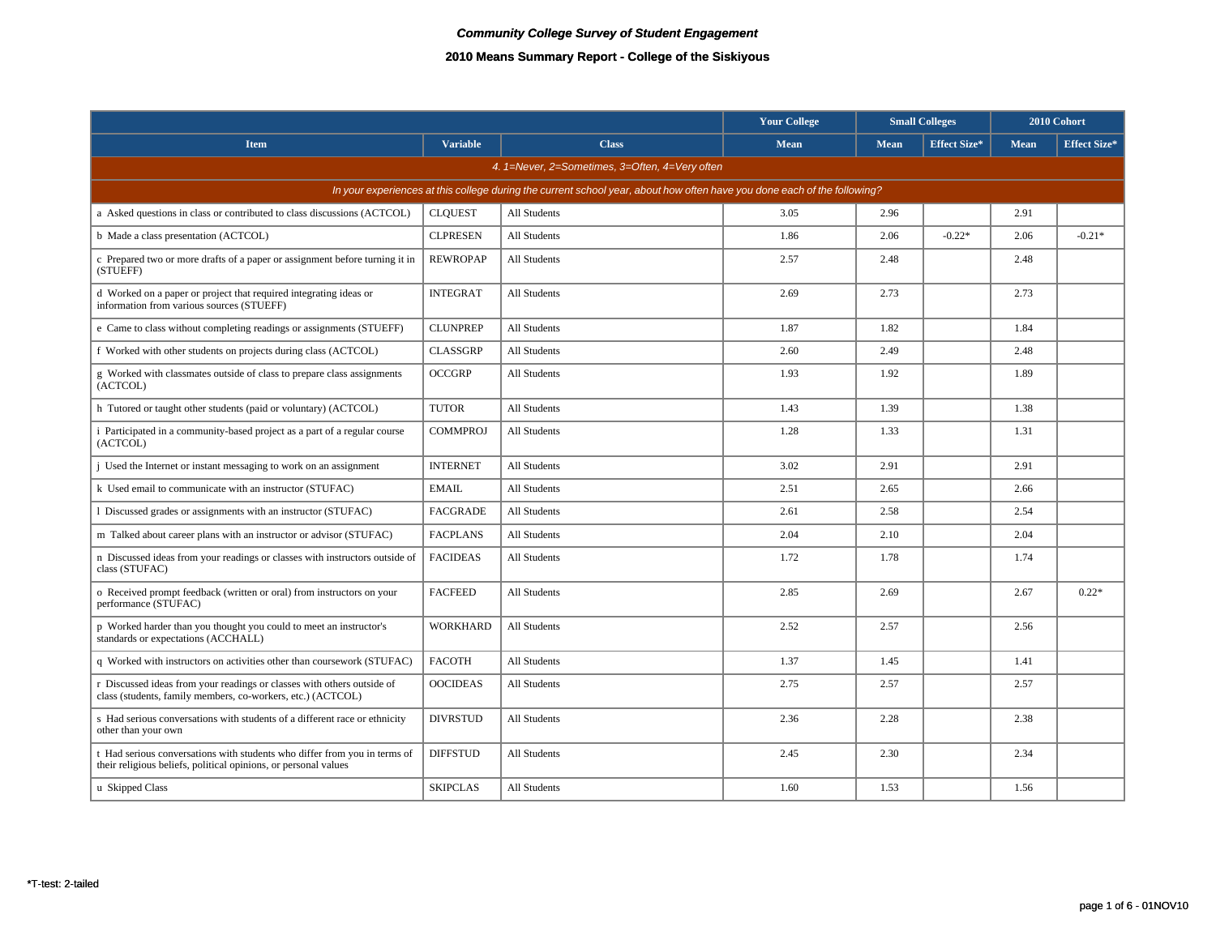|                                                                                                                                              |                 |              | <b>Your College</b> | <b>Small Colleges</b> |                     |             | 2010 Cohort         |  |  |
|----------------------------------------------------------------------------------------------------------------------------------------------|-----------------|--------------|---------------------|-----------------------|---------------------|-------------|---------------------|--|--|
| <b>Item</b>                                                                                                                                  | <b>Variable</b> | <b>Class</b> | Mean                | <b>Mean</b>           | <b>Effect Size*</b> | <b>Mean</b> | <b>Effect Size*</b> |  |  |
| 4. 1=Never, 2=Sometimes, 3=Often, 4=Very often                                                                                               |                 |              |                     |                       |                     |             |                     |  |  |
| In your experiences at this college during the current school year, about how often have you done each of the following?                     |                 |              |                     |                       |                     |             |                     |  |  |
| a Asked questions in class or contributed to class discussions (ACTCOL)                                                                      | <b>CLQUEST</b>  | All Students | 3.05                | 2.96                  |                     | 2.91        |                     |  |  |
| b Made a class presentation (ACTCOL)                                                                                                         | <b>CLPRESEN</b> | All Students | 1.86                | 2.06                  | $-0.22*$            | 2.06        | $-0.21*$            |  |  |
| c Prepared two or more drafts of a paper or assignment before turning it in<br>(STUEFF)                                                      | <b>REWROPAP</b> | All Students | 2.57                | 2.48                  |                     | 2.48        |                     |  |  |
| d Worked on a paper or project that required integrating ideas or<br>information from various sources (STUEFF)                               | <b>INTEGRAT</b> | All Students | 2.69                | 2.73                  |                     | 2.73        |                     |  |  |
| e Came to class without completing readings or assignments (STUEFF)                                                                          | <b>CLUNPREP</b> | All Students | 1.87                | 1.82                  |                     | 1.84        |                     |  |  |
| f Worked with other students on projects during class (ACTCOL)                                                                               | <b>CLASSGRP</b> | All Students | 2.60                | 2.49                  |                     | 2.48        |                     |  |  |
| g Worked with classmates outside of class to prepare class assignments<br>(ACTCOL)                                                           | <b>OCCGRP</b>   | All Students | 1.93                | 1.92                  |                     | 1.89        |                     |  |  |
| h Tutored or taught other students (paid or voluntary) (ACTCOL)                                                                              | <b>TUTOR</b>    | All Students | 1.43                | 1.39                  |                     | 1.38        |                     |  |  |
| i Participated in a community-based project as a part of a regular course<br>(ACTCOL)                                                        | <b>COMMPROJ</b> | All Students | 1.28                | 1.33                  |                     | 1.31        |                     |  |  |
| j Used the Internet or instant messaging to work on an assignment                                                                            | <b>INTERNET</b> | All Students | 3.02                | 2.91                  |                     | 2.91        |                     |  |  |
| k Used email to communicate with an instructor (STUFAC)                                                                                      | <b>EMAIL</b>    | All Students | 2.51                | 2.65                  |                     | 2.66        |                     |  |  |
| 1 Discussed grades or assignments with an instructor (STUFAC)                                                                                | <b>FACGRADE</b> | All Students | 2.61                | 2.58                  |                     | 2.54        |                     |  |  |
| m Talked about career plans with an instructor or advisor (STUFAC)                                                                           | <b>FACPLANS</b> | All Students | 2.04                | 2.10                  |                     | 2.04        |                     |  |  |
| n Discussed ideas from your readings or classes with instructors outside of<br>class (STUFAC)                                                | <b>FACIDEAS</b> | All Students | 1.72                | 1.78                  |                     | 1.74        |                     |  |  |
| o Received prompt feedback (written or oral) from instructors on your<br>performance (STUFAC)                                                | <b>FACFEED</b>  | All Students | 2.85                | 2.69                  |                     | 2.67        | $0.22*$             |  |  |
| p Worked harder than you thought you could to meet an instructor's<br>standards or expectations (ACCHALL)                                    | <b>WORKHARD</b> | All Students | 2.52                | 2.57                  |                     | 2.56        |                     |  |  |
| q Worked with instructors on activities other than coursework (STUFAC)                                                                       | <b>FACOTH</b>   | All Students | 1.37                | 1.45                  |                     | 1.41        |                     |  |  |
| r Discussed ideas from your readings or classes with others outside of<br>class (students, family members, co-workers, etc.) (ACTCOL)        | <b>OOCIDEAS</b> | All Students | 2.75                | 2.57                  |                     | 2.57        |                     |  |  |
| s Had serious conversations with students of a different race or ethnicity<br>other than your own                                            | <b>DIVRSTUD</b> | All Students | 2.36                | 2.28                  |                     | 2.38        |                     |  |  |
| t Had serious conversations with students who differ from you in terms of<br>their religious beliefs, political opinions, or personal values | <b>DIFFSTUD</b> | All Students | 2.45                | 2.30                  |                     | 2.34        |                     |  |  |
| u Skipped Class                                                                                                                              | <b>SKIPCLAS</b> | All Students | 1.60                | 1.53                  |                     | 1.56        |                     |  |  |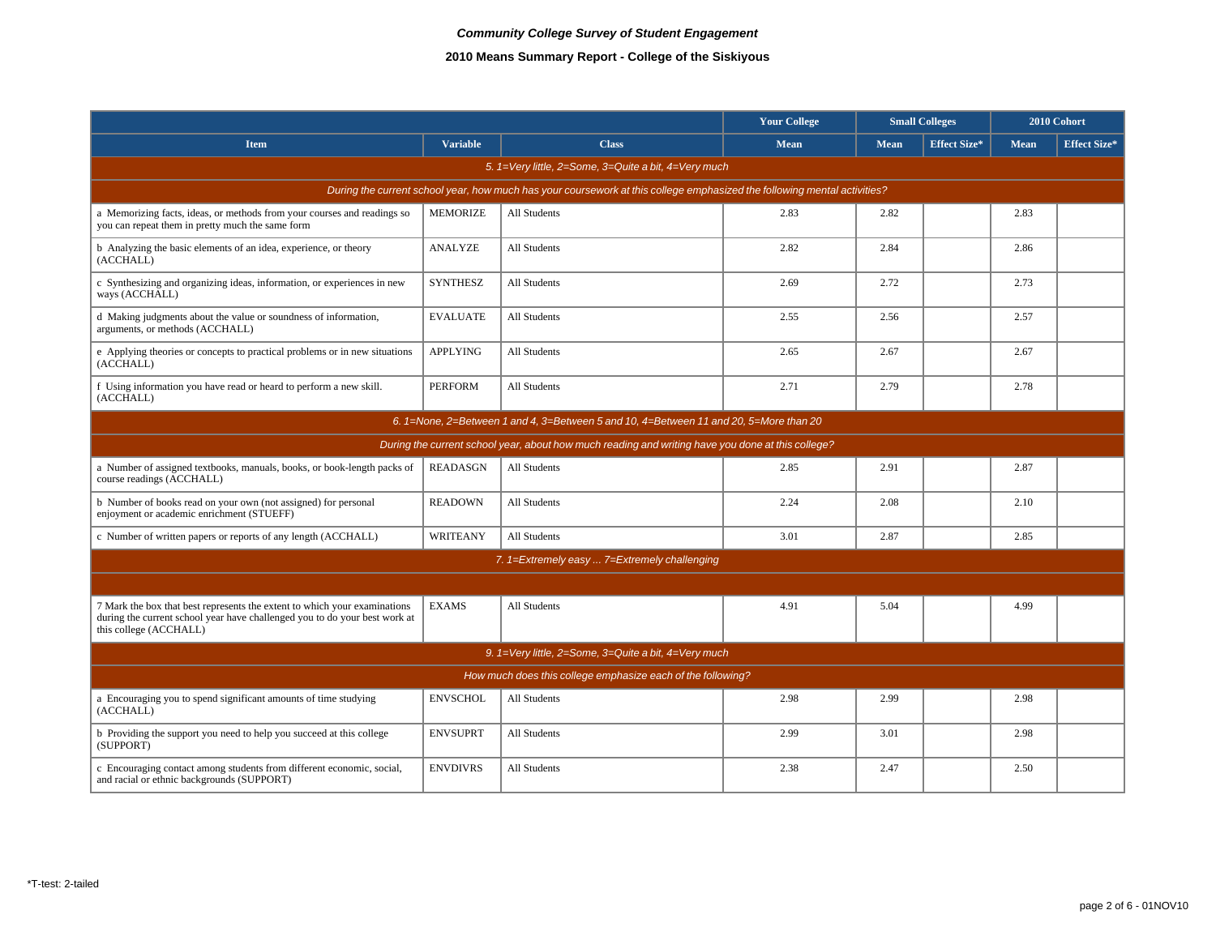|                                                                                                                                                                                   |                 |                                                      | <b>Your College</b> | <b>Small Colleges</b> |                     |      | 2010 Cohort         |  |  |  |
|-----------------------------------------------------------------------------------------------------------------------------------------------------------------------------------|-----------------|------------------------------------------------------|---------------------|-----------------------|---------------------|------|---------------------|--|--|--|
| <b>Item</b>                                                                                                                                                                       | <b>Variable</b> | <b>Class</b>                                         | <b>Mean</b>         | <b>Mean</b>           | <b>Effect Size*</b> | Mean | <b>Effect Size*</b> |  |  |  |
|                                                                                                                                                                                   |                 | 5. 1=Very little, 2=Some, 3=Quite a bit, 4=Very much |                     |                       |                     |      |                     |  |  |  |
| During the current school year, how much has your coursework at this college emphasized the following mental activities?                                                          |                 |                                                      |                     |                       |                     |      |                     |  |  |  |
| a Memorizing facts, ideas, or methods from your courses and readings so<br>you can repeat them in pretty much the same form                                                       | <b>MEMORIZE</b> | All Students                                         | 2.83                | 2.82                  |                     | 2.83 |                     |  |  |  |
| b Analyzing the basic elements of an idea, experience, or theory<br>(ACCHALL)                                                                                                     | <b>ANALYZE</b>  | All Students                                         | 2.82                | 2.84                  |                     | 2.86 |                     |  |  |  |
| c Synthesizing and organizing ideas, information, or experiences in new<br>ways (ACCHALL)                                                                                         | <b>SYNTHESZ</b> | All Students                                         | 2.69                | 2.72                  |                     | 2.73 |                     |  |  |  |
| d Making judgments about the value or soundness of information,<br>arguments, or methods (ACCHALL)                                                                                | <b>EVALUATE</b> | All Students                                         | 2.55                | 2.56                  |                     | 2.57 |                     |  |  |  |
| e Applying theories or concepts to practical problems or in new situations<br>(ACCHALL)                                                                                           | <b>APPLYING</b> | <b>All Students</b>                                  | 2.65                | 2.67                  |                     | 2.67 |                     |  |  |  |
| f Using information you have read or heard to perform a new skill.<br>(ACCHALL)                                                                                                   | <b>PERFORM</b>  | All Students                                         | 2.71                | 2.79                  |                     | 2.78 |                     |  |  |  |
| 6. 1=None, 2=Between 1 and 4, 3=Between 5 and 10, 4=Between 11 and 20, 5=More than 20                                                                                             |                 |                                                      |                     |                       |                     |      |                     |  |  |  |
| During the current school year, about how much reading and writing have you done at this college?                                                                                 |                 |                                                      |                     |                       |                     |      |                     |  |  |  |
| a Number of assigned textbooks, manuals, books, or book-length packs of<br>course readings (ACCHALL)                                                                              | <b>READASGN</b> | All Students                                         | 2.85                | 2.91                  |                     | 2.87 |                     |  |  |  |
| b Number of books read on your own (not assigned) for personal<br>enjoyment or academic enrichment (STUEFF)                                                                       | <b>READOWN</b>  | All Students                                         | 2.24                | 2.08                  |                     | 2.10 |                     |  |  |  |
| c Number of written papers or reports of any length (ACCHALL)                                                                                                                     | WRITEANY        | All Students                                         | 3.01                | 2.87                  |                     | 2.85 |                     |  |  |  |
|                                                                                                                                                                                   |                 | 7. 1=Extremely easy  7=Extremely challenging         |                     |                       |                     |      |                     |  |  |  |
|                                                                                                                                                                                   |                 |                                                      |                     |                       |                     |      |                     |  |  |  |
| 7 Mark the box that best represents the extent to which your examinations<br>during the current school year have challenged you to do your best work at<br>this college (ACCHALL) | <b>EXAMS</b>    | <b>All Students</b>                                  | 4.91                | 5.04                  |                     | 4.99 |                     |  |  |  |
|                                                                                                                                                                                   |                 | 9. 1=Very little, 2=Some, 3=Quite a bit, 4=Very much |                     |                       |                     |      |                     |  |  |  |
| How much does this college emphasize each of the following?                                                                                                                       |                 |                                                      |                     |                       |                     |      |                     |  |  |  |
| a Encouraging you to spend significant amounts of time studying<br>(ACCHALL)                                                                                                      | <b>ENVSCHOL</b> | All Students                                         | 2.98                | 2.99                  |                     | 2.98 |                     |  |  |  |
| b Providing the support you need to help you succeed at this college<br>(SUPPORT)                                                                                                 | <b>ENVSUPRT</b> | All Students                                         | 2.99                | 3.01                  |                     | 2.98 |                     |  |  |  |
| c Encouraging contact among students from different economic, social,<br>and racial or ethnic backgrounds (SUPPORT)                                                               | <b>ENVDIVRS</b> | All Students                                         | 2.38                | 2.47                  |                     | 2.50 |                     |  |  |  |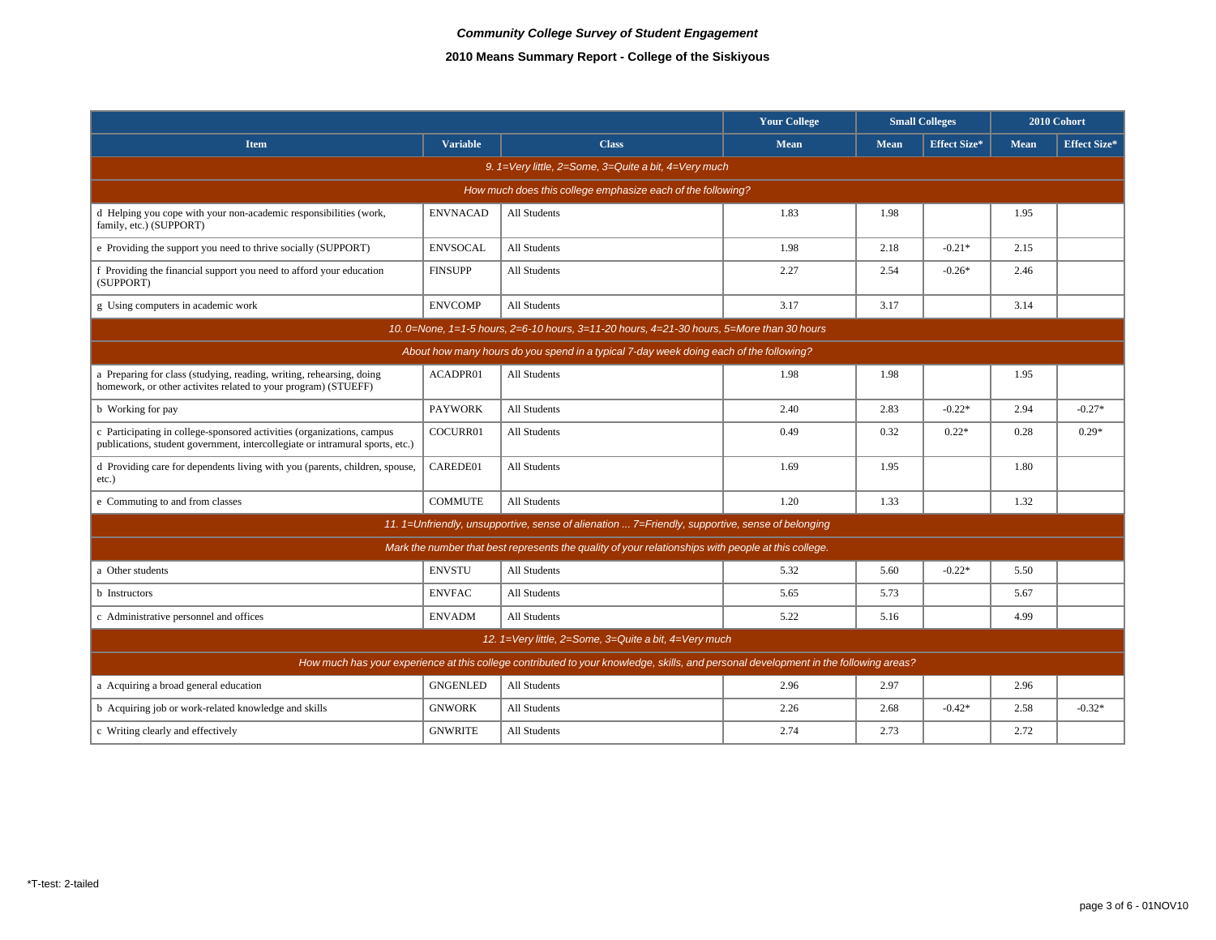|                                                                                                                                                         | <b>Your College</b><br><b>Small Colleges</b> |                                                                                                     |             | 2010 Cohort |                     |             |                     |  |  |  |
|---------------------------------------------------------------------------------------------------------------------------------------------------------|----------------------------------------------|-----------------------------------------------------------------------------------------------------|-------------|-------------|---------------------|-------------|---------------------|--|--|--|
| <b>Item</b>                                                                                                                                             | <b>Variable</b>                              | <b>Class</b>                                                                                        | <b>Mean</b> | Mean        | <b>Effect Size*</b> | <b>Mean</b> | <b>Effect Size*</b> |  |  |  |
| 9. 1=Very little, 2=Some, 3=Quite a bit, 4=Very much                                                                                                    |                                              |                                                                                                     |             |             |                     |             |                     |  |  |  |
| How much does this college emphasize each of the following?                                                                                             |                                              |                                                                                                     |             |             |                     |             |                     |  |  |  |
| d Helping you cope with your non-academic responsibilities (work,<br>family, etc.) (SUPPORT)                                                            | <b>ENVNACAD</b>                              | All Students                                                                                        | 1.83        | 1.98        |                     | 1.95        |                     |  |  |  |
| e Providing the support you need to thrive socially (SUPPORT)                                                                                           | <b>ENVSOCAL</b>                              | All Students                                                                                        | 1.98        | 2.18        | $-0.21*$            | 2.15        |                     |  |  |  |
| f Providing the financial support you need to afford your education<br>(SUPPORT)                                                                        | <b>FINSUPP</b>                               | <b>All Students</b>                                                                                 | 2.27        | 2.54        | $-0.26*$            | 2.46        |                     |  |  |  |
| g Using computers in academic work                                                                                                                      | <b>ENVCOMP</b>                               | All Students                                                                                        | 3.17        | 3.17        |                     | 3.14        |                     |  |  |  |
|                                                                                                                                                         |                                              | 10. 0=None, 1=1-5 hours, 2=6-10 hours, 3=11-20 hours, 4=21-30 hours, 5=More than 30 hours           |             |             |                     |             |                     |  |  |  |
| About how many hours do you spend in a typical 7-day week doing each of the following?                                                                  |                                              |                                                                                                     |             |             |                     |             |                     |  |  |  |
| a Preparing for class (studying, reading, writing, rehearsing, doing<br>homework, or other activites related to your program) (STUEFF)                  | ACADPR01                                     | All Students                                                                                        | 1.98        | 1.98        |                     | 1.95        |                     |  |  |  |
| b Working for pay                                                                                                                                       | <b>PAYWORK</b>                               | All Students                                                                                        | 2.40        | 2.83        | $-0.22*$            | 2.94        | $-0.27*$            |  |  |  |
| c Participating in college-sponsored activities (organizations, campus<br>publications, student government, intercollegiate or intramural sports, etc.) | COCURR01                                     | <b>All Students</b>                                                                                 | 0.49        | 0.32        | $0.22*$             | 0.28        | $0.29*$             |  |  |  |
| d Providing care for dependents living with you (parents, children, spouse,<br>etc.)                                                                    | CAREDE01                                     | All Students                                                                                        | 1.69        | 1.95        |                     | 1.80        |                     |  |  |  |
| e Commuting to and from classes                                                                                                                         | <b>COMMUTE</b>                               | All Students                                                                                        | 1.20        | 1.33        |                     | 1.32        |                     |  |  |  |
|                                                                                                                                                         |                                              | 11. 1=Unfriendly, unsupportive, sense of alienation  7=Friendly, supportive, sense of belonging     |             |             |                     |             |                     |  |  |  |
|                                                                                                                                                         |                                              | Mark the number that best represents the quality of your relationships with people at this college. |             |             |                     |             |                     |  |  |  |
| a Other students                                                                                                                                        | <b>ENVSTU</b>                                | All Students                                                                                        | 5.32        | 5.60        | $-0.22*$            | 5.50        |                     |  |  |  |
| <b>b</b> Instructors                                                                                                                                    | <b>ENVFAC</b>                                | All Students                                                                                        | 5.65        | 5.73        |                     | 5.67        |                     |  |  |  |
| c Administrative personnel and offices                                                                                                                  | <b>ENVADM</b>                                | <b>All Students</b>                                                                                 | 5.22        | 5.16        |                     | 4.99        |                     |  |  |  |
|                                                                                                                                                         |                                              | 12. 1=Very little, 2=Some, 3=Quite a bit, 4=Very much                                               |             |             |                     |             |                     |  |  |  |
| How much has your experience at this college contributed to your knowledge, skills, and personal development in the following areas?                    |                                              |                                                                                                     |             |             |                     |             |                     |  |  |  |
| a Acquiring a broad general education                                                                                                                   | <b>GNGENLED</b>                              | All Students                                                                                        | 2.96        | 2.97        |                     | 2.96        |                     |  |  |  |
| b Acquiring job or work-related knowledge and skills                                                                                                    | <b>GNWORK</b>                                | All Students                                                                                        | 2.26        | 2.68        | $-0.42*$            | 2.58        | $-0.32*$            |  |  |  |
| c Writing clearly and effectively                                                                                                                       | <b>GNWRITE</b>                               | <b>All Students</b>                                                                                 | 2.74        | 2.73        |                     | 2.72        |                     |  |  |  |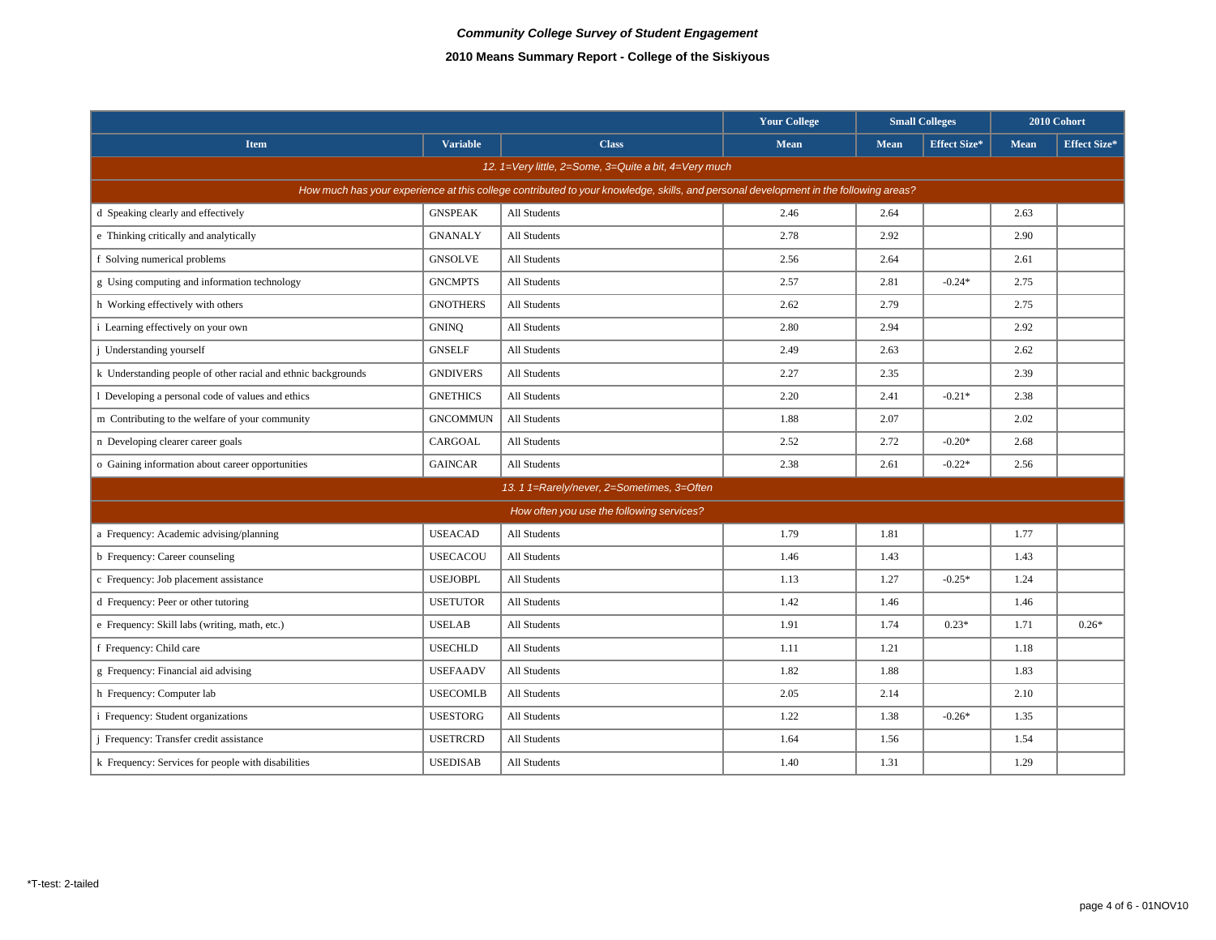|                                                                                                                                      |                 |                                            | <b>Your College</b> | <b>Small Colleges</b> |                     |             | 2010 Cohort         |  |  |  |
|--------------------------------------------------------------------------------------------------------------------------------------|-----------------|--------------------------------------------|---------------------|-----------------------|---------------------|-------------|---------------------|--|--|--|
| <b>Item</b>                                                                                                                          | <b>Variable</b> | <b>Class</b>                               | Mean                | Mean                  | <b>Effect Size*</b> | <b>Mean</b> | <b>Effect Size*</b> |  |  |  |
| 12. 1=Very little, 2=Some, 3=Quite a bit, 4=Very much                                                                                |                 |                                            |                     |                       |                     |             |                     |  |  |  |
| How much has your experience at this college contributed to your knowledge, skills, and personal development in the following areas? |                 |                                            |                     |                       |                     |             |                     |  |  |  |
| d Speaking clearly and effectively                                                                                                   | <b>GNSPEAK</b>  | All Students                               | 2.46                | 2.64                  |                     | 2.63        |                     |  |  |  |
| e Thinking critically and analytically                                                                                               | <b>GNANALY</b>  | All Students                               | 2.78                | 2.92                  |                     | 2.90        |                     |  |  |  |
| f Solving numerical problems                                                                                                         | <b>GNSOLVE</b>  | All Students                               | 2.56                | 2.64                  |                     | 2.61        |                     |  |  |  |
| g Using computing and information technology                                                                                         | <b>GNCMPTS</b>  | All Students                               | 2.57                | 2.81                  | $-0.24*$            | 2.75        |                     |  |  |  |
| h Working effectively with others                                                                                                    | <b>GNOTHERS</b> | All Students                               | 2.62                | 2.79                  |                     | 2.75        |                     |  |  |  |
| i Learning effectively on your own                                                                                                   | <b>GNINQ</b>    | All Students                               | 2.80                | 2.94                  |                     | 2.92        |                     |  |  |  |
| <i>i</i> Understanding yourself                                                                                                      | <b>GNSELF</b>   | All Students                               | 2.49                | 2.63                  |                     | 2.62        |                     |  |  |  |
| k Understanding people of other racial and ethnic backgrounds                                                                        | <b>GNDIVERS</b> | <b>All Students</b>                        | 2.27                | 2.35                  |                     | 2.39        |                     |  |  |  |
| 1 Developing a personal code of values and ethics                                                                                    | <b>GNETHICS</b> | All Students                               | 2.20                | 2.41                  | $-0.21*$            | 2.38        |                     |  |  |  |
| m Contributing to the welfare of your community                                                                                      | <b>GNCOMMUN</b> | All Students                               | 1.88                | 2.07                  |                     | 2.02        |                     |  |  |  |
| n Developing clearer career goals                                                                                                    | CARGOAL         | All Students                               | 2.52                | 2.72                  | $-0.20*$            | 2.68        |                     |  |  |  |
| o Gaining information about career opportunities                                                                                     | <b>GAINCAR</b>  | All Students                               | 2.38                | 2.61                  | $-0.22*$            | 2.56        |                     |  |  |  |
|                                                                                                                                      |                 | 13. 1 1=Rarely/never, 2=Sometimes, 3=Often |                     |                       |                     |             |                     |  |  |  |
|                                                                                                                                      |                 | How often you use the following services?  |                     |                       |                     |             |                     |  |  |  |
| a Frequency: Academic advising/planning                                                                                              | <b>USEACAD</b>  | All Students                               | 1.79                | 1.81                  |                     | 1.77        |                     |  |  |  |
| b Frequency: Career counseling                                                                                                       | <b>USECACOU</b> | All Students                               | 1.46                | 1.43                  |                     | 1.43        |                     |  |  |  |
| c Frequency: Job placement assistance                                                                                                | <b>USEJOBPL</b> | <b>All Students</b>                        | 1.13                | 1.27                  | $-0.25*$            | 1.24        |                     |  |  |  |
| d Frequency: Peer or other tutoring                                                                                                  | <b>USETUTOR</b> | All Students                               | 1.42                | 1.46                  |                     | 1.46        |                     |  |  |  |
| e Frequency: Skill labs (writing, math, etc.)                                                                                        | <b>USELAB</b>   | All Students                               | 1.91                | 1.74                  | $0.23*$             | 1.71        | $0.26*$             |  |  |  |
| f Frequency: Child care                                                                                                              | <b>USECHLD</b>  | All Students                               | 1.11                | 1.21                  |                     | 1.18        |                     |  |  |  |
| g Frequency: Financial aid advising                                                                                                  | <b>USEFAADV</b> | All Students                               | 1.82                | 1.88                  |                     | 1.83        |                     |  |  |  |
| h Frequency: Computer lab                                                                                                            | <b>USECOMLB</b> | All Students                               | 2.05                | 2.14                  |                     | 2.10        |                     |  |  |  |
| <i>i</i> Frequency: Student organizations                                                                                            | <b>USESTORG</b> | All Students                               | 1.22                | 1.38                  | $-0.26*$            | 1.35        |                     |  |  |  |
| <i>i</i> Frequency: Transfer credit assistance                                                                                       | <b>USETRCRD</b> | All Students                               | 1.64                | 1.56                  |                     | 1.54        |                     |  |  |  |
| k Frequency: Services for people with disabilities                                                                                   | <b>USEDISAB</b> | All Students                               | 1.40                | 1.31                  |                     | 1.29        |                     |  |  |  |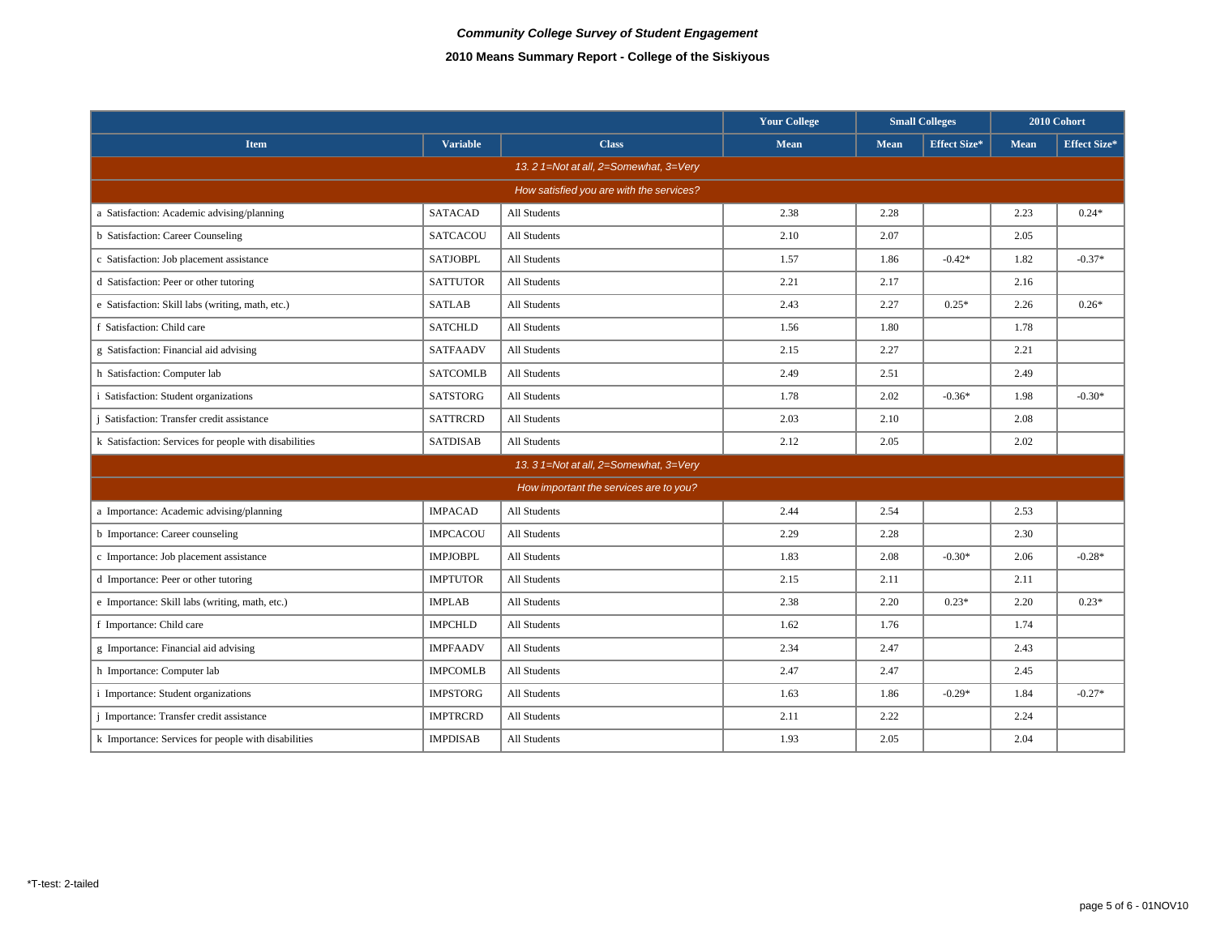|                                                       |                 |                                          | <b>Your College</b> | <b>Small Colleges</b> |                     | 2010 Cohort |                     |  |  |
|-------------------------------------------------------|-----------------|------------------------------------------|---------------------|-----------------------|---------------------|-------------|---------------------|--|--|
| <b>Item</b>                                           | <b>Variable</b> | <b>Class</b>                             | <b>Mean</b>         | Mean                  | <b>Effect Size*</b> | <b>Mean</b> | <b>Effect Size*</b> |  |  |
| 13. 2 1=Not at all, 2=Somewhat, 3=Very                |                 |                                          |                     |                       |                     |             |                     |  |  |
|                                                       |                 | How satisfied you are with the services? |                     |                       |                     |             |                     |  |  |
| a Satisfaction: Academic advising/planning            | <b>SATACAD</b>  | All Students                             | 2.38                | 2.28                  |                     | 2.23        | $0.24*$             |  |  |
| <b>b</b> Satisfaction: Career Counseling              | <b>SATCACOU</b> | All Students                             | 2.10                | 2.07                  |                     | 2.05        |                     |  |  |
| c Satisfaction: Job placement assistance              | <b>SATJOBPL</b> | All Students                             | 1.57                | 1.86                  | $-0.42*$            | 1.82        | $-0.37*$            |  |  |
| d Satisfaction: Peer or other tutoring                | <b>SATTUTOR</b> | All Students                             | 2.21                | 2.17                  |                     | 2.16        |                     |  |  |
| e Satisfaction: Skill labs (writing, math, etc.)      | <b>SATLAB</b>   | All Students                             | 2.43                | 2.27                  | $0.25*$             | 2.26        | $0.26*$             |  |  |
| f Satisfaction: Child care                            | <b>SATCHLD</b>  | All Students                             | 1.56                | 1.80                  |                     | 1.78        |                     |  |  |
| g Satisfaction: Financial aid advising                | <b>SATFAADV</b> | All Students                             | 2.15                | 2.27                  |                     | 2.21        |                     |  |  |
| h Satisfaction: Computer lab                          | <b>SATCOMLB</b> | All Students                             | 2.49                | 2.51                  |                     | 2.49        |                     |  |  |
| i Satisfaction: Student organizations                 | <b>SATSTORG</b> | All Students                             | 1.78                | 2.02                  | $-0.36*$            | 1.98        | $-0.30*$            |  |  |
| Satisfaction: Transfer credit assistance              | <b>SATTRCRD</b> | All Students                             | 2.03                | 2.10                  |                     | 2.08        |                     |  |  |
| k Satisfaction: Services for people with disabilities | <b>SATDISAB</b> | All Students                             | 2.12                | 2.05                  |                     | 2.02        |                     |  |  |
|                                                       |                 | 13. 3 1=Not at all, 2=Somewhat, 3=Very   |                     |                       |                     |             |                     |  |  |
|                                                       |                 | How important the services are to you?   |                     |                       |                     |             |                     |  |  |
| a Importance: Academic advising/planning              | <b>IMPACAD</b>  | <b>All Students</b>                      | 2.44                | 2.54                  |                     | 2.53        |                     |  |  |
| b Importance: Career counseling                       | <b>IMPCACOU</b> | All Students                             | 2.29                | 2.28                  |                     | 2.30        |                     |  |  |
| c Importance: Job placement assistance                | <b>IMPJOBPL</b> | All Students                             | 1.83                | 2.08                  | $-0.30*$            | 2.06        | $-0.28*$            |  |  |
| d Importance: Peer or other tutoring                  | <b>IMPTUTOR</b> | All Students                             | 2.15                | 2.11                  |                     | 2.11        |                     |  |  |
| e Importance: Skill labs (writing, math, etc.)        | <b>IMPLAB</b>   | All Students                             | 2.38                | 2.20                  | $0.23*$             | 2.20        | $0.23*$             |  |  |
| f Importance: Child care                              | <b>IMPCHLD</b>  | All Students                             | 1.62                | 1.76                  |                     | 1.74        |                     |  |  |
| g Importance: Financial aid advising                  | <b>IMPFAADV</b> | All Students                             | 2.34                | 2.47                  |                     | 2.43        |                     |  |  |
| h Importance: Computer lab                            | <b>IMPCOMLB</b> | All Students                             | 2.47                | 2.47                  |                     | 2.45        |                     |  |  |
| i Importance: Student organizations                   | <b>IMPSTORG</b> | All Students                             | 1.63                | 1.86                  | $-0.29*$            | 1.84        | $-0.27*$            |  |  |
| <i>i</i> Importance: Transfer credit assistance       | <b>IMPTRCRD</b> | All Students                             | 2.11                | 2.22                  |                     | 2.24        |                     |  |  |
| k Importance: Services for people with disabilities   | <b>IMPDISAB</b> | All Students                             | 1.93                | 2.05                  |                     | 2.04        |                     |  |  |